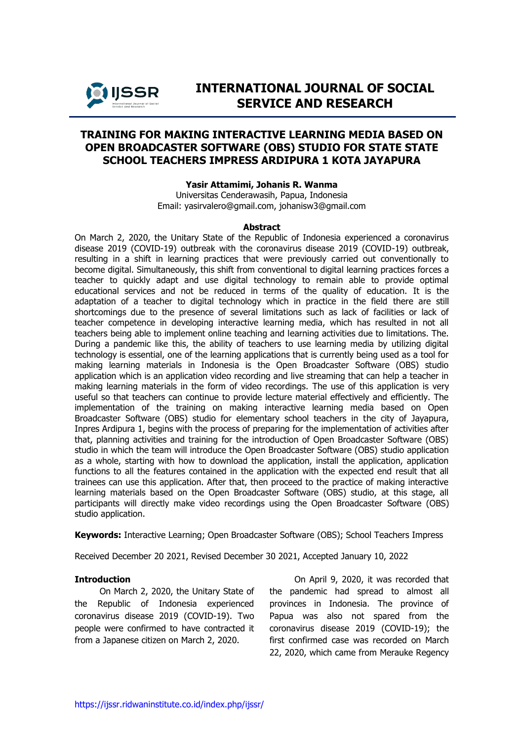

# **INTERNATIONAL JOURNAL OF SOCIAL SERVICE AND RESEARCH**

## **TRAINING FOR MAKING INTERACTIVE LEARNING MEDIA BASED ON OPEN BROADCASTER SOFTWARE (OBS) STUDIO FOR STATE STATE SCHOOL TEACHERS IMPRESS ARDIPURA 1 KOTA JAYAPURA**

#### **Yasir Attamimi, Johanis R. Wanma**

Universitas Cenderawasih, Papua, Indonesia Email: [yasirvalero@gmail.com,](mailto:yasirvalero@gmail.com) johanisw3@gmail.com

#### **Abstract**

On March 2, 2020, the Unitary State of the Republic of Indonesia experienced a coronavirus disease 2019 (COVID-19) outbreak with the coronavirus disease 2019 (COVID-19) outbreak, resulting in a shift in learning practices that were previously carried out conventionally to become digital. Simultaneously, this shift from conventional to digital learning practices forces a teacher to quickly adapt and use digital technology to remain able to provide optimal educational services and not be reduced in terms of the quality of education. It is the adaptation of a teacher to digital technology which in practice in the field there are still shortcomings due to the presence of several limitations such as lack of facilities or lack of teacher competence in developing interactive learning media, which has resulted in not all teachers being able to implement online teaching and learning activities due to limitations. The. During a pandemic like this, the ability of teachers to use learning media by utilizing digital technology is essential, one of the learning applications that is currently being used as a tool for making learning materials in Indonesia is the Open Broadcaster Software (OBS) studio application which is an application video recording and live streaming that can help a teacher in making learning materials in the form of video recordings. The use of this application is very useful so that teachers can continue to provide lecture material effectively and efficiently. The implementation of the training on making interactive learning media based on Open Broadcaster Software (OBS) studio for elementary school teachers in the city of Jayapura, Inpres Ardipura 1, begins with the process of preparing for the implementation of activities after that, planning activities and training for the introduction of Open Broadcaster Software (OBS) studio in which the team will introduce the Open Broadcaster Software (OBS) studio application as a whole, starting with how to download the application, install the application, application functions to all the features contained in the application with the expected end result that all trainees can use this application. After that, then proceed to the practice of making interactive learning materials based on the Open Broadcaster Software (OBS) studio, at this stage, all participants will directly make video recordings using the Open Broadcaster Software (OBS) studio application.

**Keywords:** Interactive Learning; Open Broadcaster Software (OBS); School Teachers Impress

Received December 20 2021, Revised December 30 2021, Accepted January 10, 2022

#### **Introduction**

On March 2, 2020, the Unitary State of the Republic of Indonesia experienced coronavirus disease 2019 (COVID-19). Two people were confirmed to have contracted it from a Japanese citizen on March 2, 2020.

On April 9, 2020, it was recorded that the pandemic had spread to almost all provinces in Indonesia. The province of Papua was also not spared from the coronavirus disease 2019 (COVID-19); the first confirmed case was recorded on March 22, 2020, which came from Merauke Regency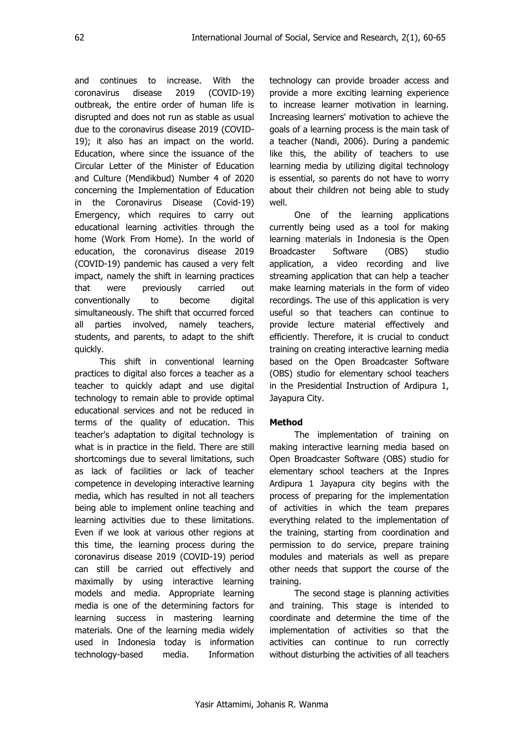and continues to increase. With the coronavirus disease 2019 (COVID-19) outbreak, the entire order of human life is disrupted and does not run as stable as usual due to the coronavirus disease 2019 (COVID-19); it also has an impact on the world. Education, where since the issuance of the Circular Letter of the Minister of Education and Culture (Mendikbud) Number 4 of 2020 concerning the Implementation of Education in the Coronavirus Disease (Covid-19) Emergency, which requires to carry out educational learning activities through the home (Work From Home). In the world of education, the coronavirus disease 2019 (COVID-19) pandemic has caused a very felt impact, namely the shift in learning practices that were previously carried out conventionally to become digital simultaneously. The shift that occurred forced all parties involved, namely teachers, students, and parents, to adapt to the shift quickly.

This shift in conventional learning practices to digital also forces a teacher as a teacher to quickly adapt and use digital technology to remain able to provide optimal educational services and not be reduced in terms of the quality of education. This teacher's adaptation to digital technology is what is in practice in the field. There are still shortcomings due to several limitations, such as lack of facilities or lack of teacher competence in developing interactive learning media, which has resulted in not all teachers being able to implement online teaching and learning activities due to these limitations. Even if we look at various other regions at this time, the learning process during the coronavirus disease 2019 (COVID-19) period can still be carried out effectively and maximally by using interactive learning models and media. Appropriate learning media is one of the determining factors for learning success in mastering learning materials. One of the learning media widely used in Indonesia today is information technology-based media. Information

technology can provide broader access and provide a more exciting learning experience to increase learner motivation in learning. Increasing learners' motivation to achieve the goals of a learning process is the main task of a teacher (Nandi, 2006). During a pandemic like this, the ability of teachers to use learning media by utilizing digital technology is essential, so parents do not have to worry about their children not being able to study well.

One of the learning applications currently being used as a tool for making learning materials in Indonesia is the Open Broadcaster Software (OBS) studio application, a video recording and live streaming application that can help a teacher make learning materials in the form of video recordings. The use of this application is very useful so that teachers can continue to provide lecture material effectively and efficiently. Therefore, it is crucial to conduct training on creating interactive learning media based on the Open Broadcaster Software (OBS) studio for elementary school teachers in the Presidential Instruction of Ardipura 1, Jayapura City.

### **Method**

The implementation of training on making interactive learning media based on Open Broadcaster Software (OBS) studio for elementary school teachers at the Inpres Ardipura 1 Jayapura city begins with the process of preparing for the implementation of activities in which the team prepares everything related to the implementation of the training, starting from coordination and permission to do service, prepare training modules and materials as well as prepare other needs that support the course of the training.

The second stage is planning activities and training. This stage is intended to coordinate and determine the time of the implementation of activities so that the activities can continue to run correctly without disturbing the activities of all teachers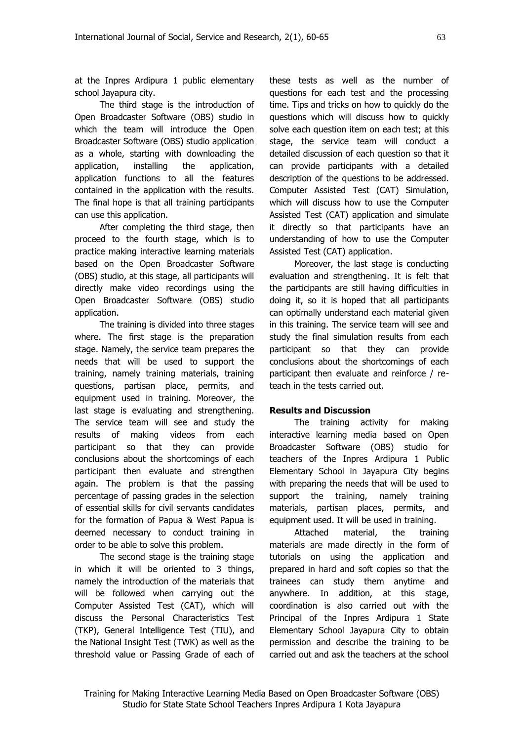at the Inpres Ardipura 1 public elementary school Jayapura city.

The third stage is the introduction of Open Broadcaster Software (OBS) studio in which the team will introduce the Open Broadcaster Software (OBS) studio application as a whole, starting with downloading the application, installing the application, application functions to all the features contained in the application with the results. The final hope is that all training participants can use this application.

After completing the third stage, then proceed to the fourth stage, which is to practice making interactive learning materials based on the Open Broadcaster Software (OBS) studio, at this stage, all participants will directly make video recordings using the Open Broadcaster Software (OBS) studio application.

The training is divided into three stages where. The first stage is the preparation stage. Namely, the service team prepares the needs that will be used to support the training, namely training materials, training questions, partisan place, permits, and equipment used in training. Moreover, the last stage is evaluating and strengthening. The service team will see and study the results of making videos from each participant so that they can provide conclusions about the shortcomings of each participant then evaluate and strengthen again. The problem is that the passing percentage of passing grades in the selection of essential skills for civil servants candidates for the formation of Papua & West Papua is deemed necessary to conduct training in order to be able to solve this problem.

The second stage is the training stage in which it will be oriented to 3 things, namely the introduction of the materials that will be followed when carrying out the Computer Assisted Test (CAT), which will discuss the Personal Characteristics Test (TKP), General Intelligence Test (TIU), and the National Insight Test (TWK) as well as the threshold value or Passing Grade of each of these tests as well as the number of questions for each test and the processing time. Tips and tricks on how to quickly do the questions which will discuss how to quickly solve each question item on each test; at this stage, the service team will conduct a detailed discussion of each question so that it can provide participants with a detailed description of the questions to be addressed. Computer Assisted Test (CAT) Simulation, which will discuss how to use the Computer Assisted Test (CAT) application and simulate it directly so that participants have an understanding of how to use the Computer Assisted Test (CAT) application.

Moreover, the last stage is conducting evaluation and strengthening. It is felt that the participants are still having difficulties in doing it, so it is hoped that all participants can optimally understand each material given in this training. The service team will see and study the final simulation results from each participant so that they can provide conclusions about the shortcomings of each participant then evaluate and reinforce / reteach in the tests carried out.

#### **Results and Discussion**

The training activity for making interactive learning media based on Open Broadcaster Software (OBS) studio for teachers of the Inpres Ardipura 1 Public Elementary School in Jayapura City begins with preparing the needs that will be used to support the training, namely training materials, partisan places, permits, and equipment used. It will be used in training.

Attached material, the training materials are made directly in the form of tutorials on using the application and prepared in hard and soft copies so that the trainees can study them anytime and anywhere. In addition, at this stage, coordination is also carried out with the Principal of the Inpres Ardipura 1 State Elementary School Jayapura City to obtain permission and describe the training to be carried out and ask the teachers at the school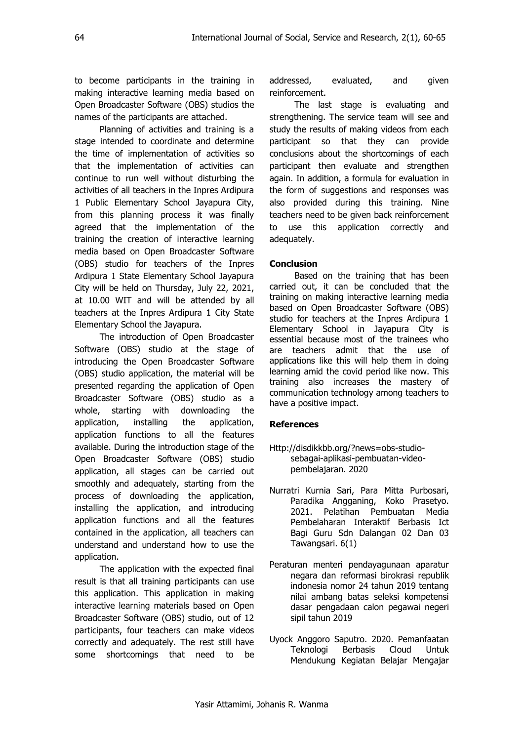to become participants in the training in making interactive learning media based on Open Broadcaster Software (OBS) studios the names of the participants are attached.

Planning of activities and training is a stage intended to coordinate and determine the time of implementation of activities so that the implementation of activities can continue to run well without disturbing the activities of all teachers in the Inpres Ardipura 1 Public Elementary School Jayapura City, from this planning process it was finally agreed that the implementation of the training the creation of interactive learning media based on Open Broadcaster Software (OBS) studio for teachers of the Inpres Ardipura 1 State Elementary School Jayapura City will be held on Thursday, July 22, 2021, at 10.00 WIT and will be attended by all teachers at the Inpres Ardipura 1 City State Elementary School the Jayapura.

The introduction of Open Broadcaster Software (OBS) studio at the stage of introducing the Open Broadcaster Software (OBS) studio application, the material will be presented regarding the application of Open Broadcaster Software (OBS) studio as a whole, starting with downloading the application, installing the application, application functions to all the features available. During the introduction stage of the Open Broadcaster Software (OBS) studio application, all stages can be carried out smoothly and adequately, starting from the process of downloading the application, installing the application, and introducing application functions and all the features contained in the application, all teachers can understand and understand how to use the application.

The application with the expected final result is that all training participants can use this application. This application in making interactive learning materials based on Open Broadcaster Software (OBS) studio, out of 12 participants, four teachers can make videos correctly and adequately. The rest still have some shortcomings that need to be addressed, evaluated, and given reinforcement.

The last stage is evaluating and strengthening. The service team will see and study the results of making videos from each participant so that they can provide conclusions about the shortcomings of each participant then evaluate and strengthen again. In addition, a formula for evaluation in the form of suggestions and responses was also provided during this training. Nine teachers need to be given back reinforcement to use this application correctly and adequately.

### **Conclusion**

Based on the training that has been carried out, it can be concluded that the training on making interactive learning media based on Open Broadcaster Software (OBS) studio for teachers at the Inpres Ardipura 1 Elementary School in Jayapura City is essential because most of the trainees who are teachers admit that the use of applications like this will help them in doing learning amid the covid period like now. This training also increases the mastery of communication technology among teachers to have a positive impact.

#### **References**

- Http://disdikkbb.org/?news=obs-studiosebagai-aplikasi-pembuatan-videopembelajaran. 2020
- Nurratri Kurnia Sari, Para Mitta Purbosari, Paradika Angganing, Koko Prasetyo. 2021. Pelatihan Pembuatan Media Pembelaharan Interaktif Berbasis Ict Bagi Guru Sdn Dalangan 02 Dan 03 Tawangsari. 6(1)
- Peraturan menteri pendayagunaan aparatur negara dan reformasi birokrasi republik indonesia nomor 24 tahun 2019 tentang nilai ambang batas seleksi kompetensi dasar pengadaan calon pegawai negeri sipil tahun 2019
- Uyock Anggoro Saputro. 2020. Pemanfaatan Teknologi Berbasis Cloud Untuk Mendukung Kegiatan Belajar Mengajar